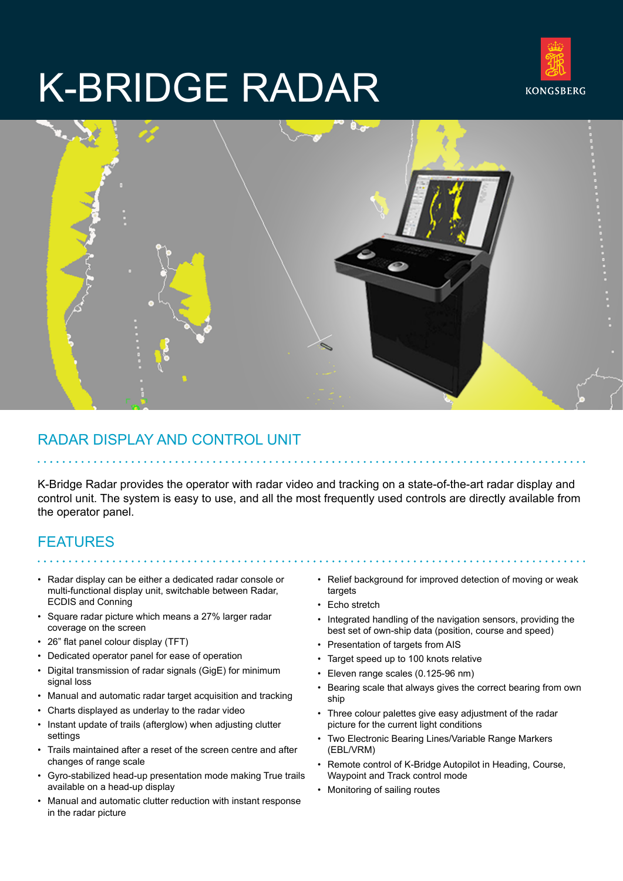# K-BRIDGE RADAR





## RADAR DISPLAY AND CONTROL UNIT

K-Bridge Radar provides the operator with radar video and tracking on a state-of-the-art radar display and control unit. The system is easy to use, and all the most frequently used controls are directly available from the operator panel.

# FEATURES

- Radar display can be either a dedicated radar console or multi-functional display unit, switchable between Radar, ECDIS and Conning
- Square radar picture which means a 27% larger radar coverage on the screen
- 26" flat panel colour display (TFT)
- Dedicated operator panel for ease of operation
- Digital transmission of radar signals (GigE) for minimum signal loss
- Manual and automatic radar target acquisition and tracking
- Charts displayed as underlay to the radar video
- Instant update of trails (afterglow) when adjusting clutter settings
- Trails maintained after a reset of the screen centre and after changes of range scale
- Gyro-stabilized head-up presentation mode making True trails available on a head-up display
- Manual and automatic clutter reduction with instant response in the radar picture
- Relief background for improved detection of moving or weak targets
- Echo stretch
- Integrated handling of the navigation sensors, providing the best set of own-ship data (position, course and speed)
- Presentation of targets from AIS
- Target speed up to 100 knots relative
- Eleven range scales (0.125-96 nm)
- Bearing scale that always gives the correct bearing from own ship
- Three colour palettes give easy adjustment of the radar picture for the current light conditions
- Two Electronic Bearing Lines/Variable Range Markers (EBL/VRM)
- Remote control of K-Bridge Autopilot in Heading, Course, Waypoint and Track control mode
- Monitoring of sailing routes